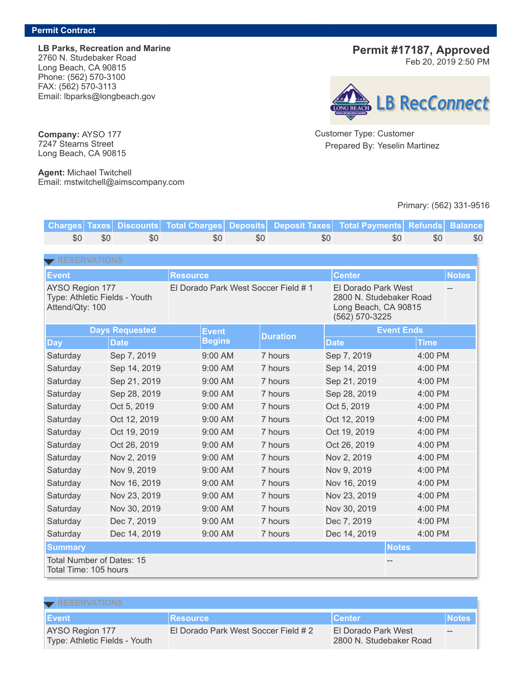**LB Parks, Recreation and Marine** 2760 N. Studebaker Road Long Beach, CA 90815 Phone: (562) 570-3100 FAX: (562) 570-3113 Email: lbparks@longbeach.gov

# **Permit #17187, Approved**

Feb 20, 2019 2:50 PM



Customer Type: Customer Prepared By: Yeselin Martinez

### Primary: (562) 331-9516

**Charges Taxes Discounts Total Charges Deposits Deposit Taxes Total Payments Refunds Balance** \$0 \$0 \$0 \$0 \$0 \$0 \$0 \$0 \$0 **Event Resource Center Notes** AYSO Region 177 Type: Athletic Fields - Youth Attend/Qty: 100 El Dorado Park West Soccer Field # 1 El Dorado Park West 2800 N. Studebaker Road Long Beach, CA 90815 (562) 570-3225 -- **Days** Requested **Event Begins Duration Event Ends Day Date Date Time** Saturday Sep 7, 2019 9:00 AM 7 hours Sep 7, 2019 4:00 PM Saturday Sep 14, 2019 9:00 AM 7 hours Sep 14, 2019 4:00 PM Saturday Sep 21, 2019 9:00 AM 7 hours Sep 21, 2019 4:00 PM Saturday Sep 28, 2019 9:00 AM 7 hours Sep 28, 2019 4:00 PM Saturday Oct 5, 2019 9:00 AM 7 hours Oct 5, 2019 4:00 PM Saturday Oct 12, 2019 9:00 AM 7 hours Oct 12, 2019 4:00 PM Saturday Oct 19, 2019 9:00 AM 7 hours Oct 19, 2019 4:00 PM Saturday Oct 26, 2019 9:00 AM 7 hours Oct 26, 2019 4:00 PM Saturday Nov 2, 2019 9:00 AM 7 hours Nov 2, 2019 4:00 PM Saturday Nov 9, 2019 9:00 AM 7 hours Nov 9, 2019 4:00 PM Saturday Nov 16, 2019 9:00 AM 7 hours Nov 16, 2019 4:00 PM Saturday Nov 23, 2019 9:00 AM 7 hours Nov 23, 2019 4:00 PM Saturday Nov 30, 2019 9:00 AM 7 hours Nov 30, 2019 4:00 PM Saturday Dec 7, 2019 9:00 AM 7 hours Dec 7, 2019 4:00 PM Saturday Dec 14, 2019 9:00 AM 7 hours Dec 14, 2019 4:00 PM **Summary Notes** Total Number of Dates: 15 Total Time: 105 hours --

| $\blacktriangleright$ RESERVATIONS               |                                      |                                                |               |  |  |  |  |
|--------------------------------------------------|--------------------------------------|------------------------------------------------|---------------|--|--|--|--|
| I Event                                          | ∣Resource i                          | <b>Center</b>                                  | <b>INotes</b> |  |  |  |  |
| AYSO Region 177<br>Type: Athletic Fields - Youth | El Dorado Park West Soccer Field # 2 | El Dorado Park West<br>2800 N. Studebaker Road | $- -$         |  |  |  |  |

**Company:** AYSO 177 7247 Stearns Street Long Beach, CA 90815

**Agent:** Michael Twitchell Email: mstwitchell@aimscompany.com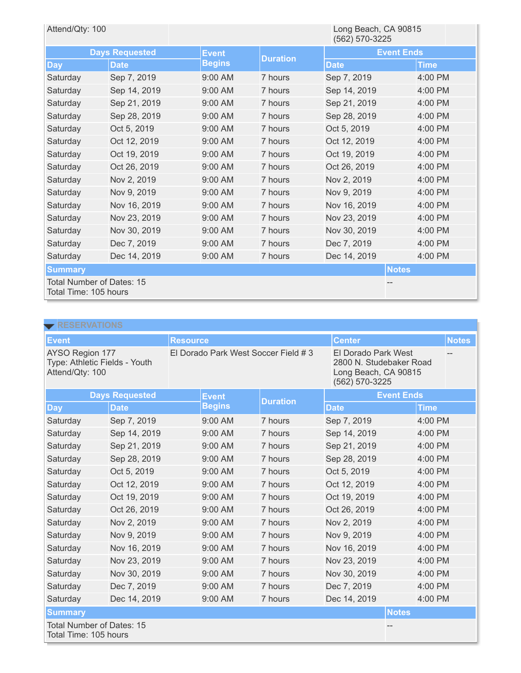| Attend/Qty: 100                                    |              | Long Beach, CA 90815<br>(562) 570-3225 |                 |                   |              |  |
|----------------------------------------------------|--------------|----------------------------------------|-----------------|-------------------|--------------|--|
| <b>Days Requested</b>                              |              | <b>Event</b>                           |                 | <b>Event Ends</b> |              |  |
| <b>Day</b>                                         | <b>Date</b>  | <b>Begins</b>                          | <b>Duration</b> | <b>Date</b>       | <b>Time</b>  |  |
| Saturday                                           | Sep 7, 2019  | 9:00 AM                                | 7 hours         | Sep 7, 2019       | 4:00 PM      |  |
| Saturday                                           | Sep 14, 2019 | 9:00 AM                                | 7 hours         | Sep 14, 2019      | 4:00 PM      |  |
| Saturday                                           | Sep 21, 2019 | 9:00 AM                                | 7 hours         | Sep 21, 2019      | 4:00 PM      |  |
| Saturday                                           | Sep 28, 2019 | 9:00 AM                                | 7 hours         | Sep 28, 2019      | 4:00 PM      |  |
| Saturday                                           | Oct 5, 2019  | $9:00$ AM                              | 7 hours         | Oct 5, 2019       | 4:00 PM      |  |
| Saturday                                           | Oct 12, 2019 | 9:00 AM                                | 7 hours         | Oct 12, 2019      | 4:00 PM      |  |
| Saturday                                           | Oct 19, 2019 | 9:00 AM                                | 7 hours         | Oct 19, 2019      | 4:00 PM      |  |
| Saturday                                           | Oct 26, 2019 | 9:00 AM                                | 7 hours         | Oct 26, 2019      | 4:00 PM      |  |
| Saturday                                           | Nov 2, 2019  | $9:00$ AM                              | 7 hours         | Nov 2, 2019       | 4:00 PM      |  |
| Saturday                                           | Nov 9, 2019  | 9:00 AM                                | 7 hours         | Nov 9, 2019       | 4:00 PM      |  |
| Saturday                                           | Nov 16, 2019 | 9:00 AM                                | 7 hours         | Nov 16, 2019      | 4:00 PM      |  |
| Saturday                                           | Nov 23, 2019 | 9:00 AM                                | 7 hours         | Nov 23, 2019      | 4:00 PM      |  |
| Saturday                                           | Nov 30, 2019 | 9:00 AM                                | 7 hours         | Nov 30, 2019      | 4:00 PM      |  |
| Saturday                                           | Dec 7, 2019  | 9:00 AM                                | 7 hours         | Dec 7, 2019       | 4:00 PM      |  |
| Saturday                                           | Dec 14, 2019 | 9:00 AM                                | 7 hours         | Dec 14, 2019      | 4:00 PM      |  |
| <b>Summary</b>                                     |              |                                        |                 |                   | <b>Notes</b> |  |
| Total Number of Dates: 15<br>Total Time: 105 hours |              |                                        |                 |                   |              |  |

| <b>RESERVATIONS</b>                                                 |              |                                      |               |                                                                                          |                   |              |  |
|---------------------------------------------------------------------|--------------|--------------------------------------|---------------|------------------------------------------------------------------------------------------|-------------------|--------------|--|
| <b>Event</b>                                                        |              | <b>Resource</b>                      |               | <b>Center</b>                                                                            |                   | <b>Notes</b> |  |
| AYSO Region 177<br>Type: Athletic Fields - Youth<br>Attend/Qty: 100 |              | El Dorado Park West Soccer Field # 3 |               | El Dorado Park West<br>2800 N. Studebaker Road<br>Long Beach, CA 90815<br>(562) 570-3225 |                   |              |  |
| <b>Days Requested</b>                                               |              |                                      | <b>Event</b>  | <b>Duration</b>                                                                          | <b>Event Ends</b> |              |  |
| <b>Day</b>                                                          | <b>Date</b>  |                                      | <b>Begins</b> |                                                                                          | <b>Date</b>       | <b>Time</b>  |  |
| Saturday                                                            | Sep 7, 2019  |                                      | 9:00 AM       | 7 hours                                                                                  | Sep 7, 2019       | 4:00 PM      |  |
| Saturday                                                            | Sep 14, 2019 |                                      | 9:00 AM       | 7 hours                                                                                  | Sep 14, 2019      | 4:00 PM      |  |
| Saturday                                                            | Sep 21, 2019 |                                      | 9:00 AM       | 7 hours                                                                                  | Sep 21, 2019      | 4:00 PM      |  |
| Saturday                                                            | Sep 28, 2019 |                                      | 9:00 AM       | 7 hours                                                                                  | Sep 28, 2019      | 4:00 PM      |  |
| Saturday                                                            | Oct 5, 2019  |                                      | 9:00 AM       | 7 hours                                                                                  | Oct 5, 2019       | 4:00 PM      |  |
| Saturday                                                            | Oct 12, 2019 |                                      | 9:00 AM       | 7 hours                                                                                  | Oct 12, 2019      | 4:00 PM      |  |
| Saturday                                                            | Oct 19, 2019 |                                      | 9:00 AM       | 7 hours                                                                                  | Oct 19, 2019      | 4:00 PM      |  |
| Saturday                                                            | Oct 26, 2019 |                                      | 9:00 AM       | 7 hours                                                                                  | Oct 26, 2019      | 4:00 PM      |  |
| Saturday                                                            | Nov 2, 2019  |                                      | $9:00$ AM     | 7 hours                                                                                  | Nov 2, 2019       | 4:00 PM      |  |
| Saturday                                                            | Nov 9, 2019  |                                      | 9:00 AM       | 7 hours                                                                                  | Nov 9, 2019       | 4:00 PM      |  |
| Saturday                                                            | Nov 16, 2019 |                                      | 9:00 AM       | 7 hours                                                                                  | Nov 16, 2019      | 4:00 PM      |  |
| Saturday                                                            | Nov 23, 2019 |                                      | 9:00 AM       | 7 hours                                                                                  | Nov 23, 2019      | 4:00 PM      |  |
| Saturday                                                            | Nov 30, 2019 |                                      | 9:00 AM       | 7 hours                                                                                  | Nov 30, 2019      | 4:00 PM      |  |
| Saturday                                                            | Dec 7, 2019  |                                      | 9:00 AM       | 7 hours                                                                                  | Dec 7, 2019       | 4:00 PM      |  |
| Saturday                                                            | Dec 14, 2019 |                                      | 9:00 AM       | 7 hours                                                                                  | Dec 14, 2019      | 4:00 PM      |  |
| <b>Summary</b>                                                      |              |                                      |               |                                                                                          |                   | <b>Notes</b> |  |
| <b>Total Number of Dates: 15</b><br>Total Time: 105 hours           |              |                                      |               |                                                                                          |                   |              |  |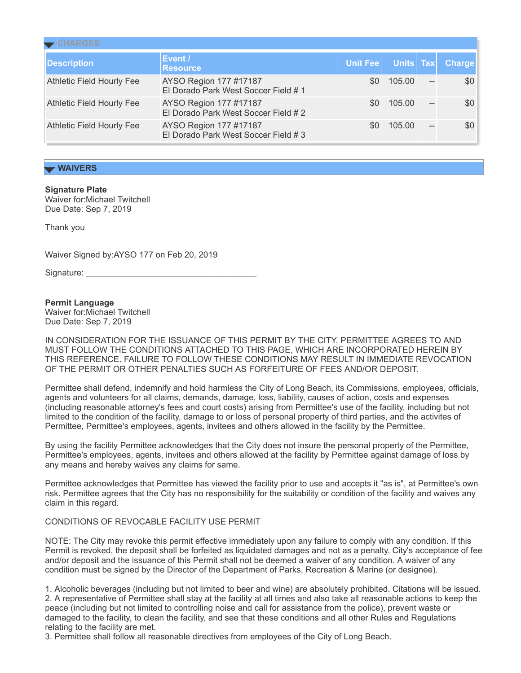| $\blacktriangleright$ CHARGES    |                                                                |          |           |  |               |  |  |
|----------------------------------|----------------------------------------------------------------|----------|-----------|--|---------------|--|--|
| <b>Description</b>               | Event /<br><b>Resource</b>                                     | Unit Fee | Units Tax |  | <b>Charge</b> |  |  |
| <b>Athletic Field Hourly Fee</b> | AYSO Region 177 #17187<br>El Dorado Park West Soccer Field # 1 | \$0      | 105.00    |  | \$0           |  |  |
| <b>Athletic Field Hourly Fee</b> | AYSO Region 177 #17187<br>El Dorado Park West Soccer Field #2  | \$0      | 105.00    |  | \$0           |  |  |
| <b>Athletic Field Hourly Fee</b> | AYSO Region 177 #17187<br>El Dorado Park West Soccer Field #3  | \$0      | 105.00    |  | \$0           |  |  |

## **WAIVERS**

**Signature Plate** Waiver for:Michael Twitchell Due Date: Sep 7, 2019

Thank you

Waiver Signed by:AYSO 177 on Feb 20, 2019

Signature:

### **Permit Language**

Waiver for:Michael Twitchell Due Date: Sep 7, 2019

IN CONSIDERATION FOR THE ISSUANCE OF THIS PERMIT BY THE CITY, PERMITTEE AGREES TO AND MUST FOLLOW THE CONDITIONS ATTACHED TO THIS PAGE, WHICH ARE INCORPORATED HEREIN BY THIS REFERENCE. FAILURE TO FOLLOW THESE CONDITIONS MAY RESULT IN IMMEDIATE REVOCATION OF THE PERMIT OR OTHER PENALTIES SUCH AS FORFEITURE OF FEES AND/OR DEPOSIT.

Permittee shall defend, indemnify and hold harmless the City of Long Beach, its Commissions, employees, officials, agents and volunteers for all claims, demands, damage, loss, liability, causes of action, costs and expenses (including reasonable attorney's fees and court costs) arising from Permittee's use of the facility, including but not limited to the condition of the facility, damage to or loss of personal property of third parties, and the activites of Permittee, Permittee's employees, agents, invitees and others allowed in the facility by the Permittee.

By using the facility Permittee acknowledges that the City does not insure the personal property of the Permittee, Permittee's employees, agents, invitees and others allowed at the facility by Permittee against damage of loss by any means and hereby waives any claims for same.

Permittee acknowledges that Permittee has viewed the facility prior to use and accepts it "as is", at Permittee's own risk. Permittee agrees that the City has no responsibility for the suitability or condition of the facility and waives any claim in this regard.

### CONDITIONS OF REVOCABLE FACILITY USE PERMIT

NOTE: The City may revoke this permit effective immediately upon any failure to comply with any condition. If this Permit is revoked, the deposit shall be forfeited as liquidated damages and not as a penalty. City's acceptance of fee and/or deposit and the issuance of this Permit shall not be deemed a waiver of any condition. A waiver of any condition must be signed by the Director of the Department of Parks, Recreation & Marine (or designee).

1. Alcoholic beverages (including but not limited to beer and wine) are absolutely prohibited. Citations will be issued. 2. A representative of Permittee shall stay at the facility at all times and also take all reasonable actions to keep the peace (including but not limited to controlling noise and call for assistance from the police), prevent waste or damaged to the facility, to clean the facility, and see that these conditions and all other Rules and Regulations relating to the facility are met.

3. Permittee shall follow all reasonable directives from employees of the City of Long Beach.